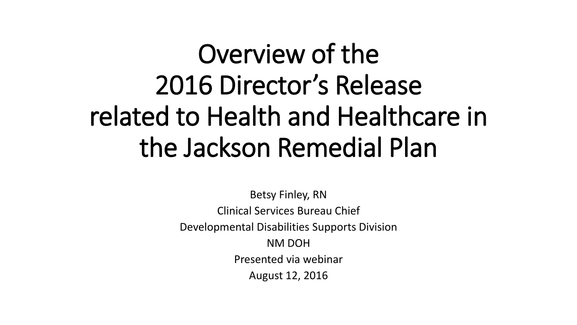# Overview of the 2016 Director's Release related to Health and Healthcare in the Jackson Remedial Plan

Betsy Finley, RN Clinical Services Bureau Chief Developmental Disabilities Supports Division NM DOH Presented via webinar August 12, 2016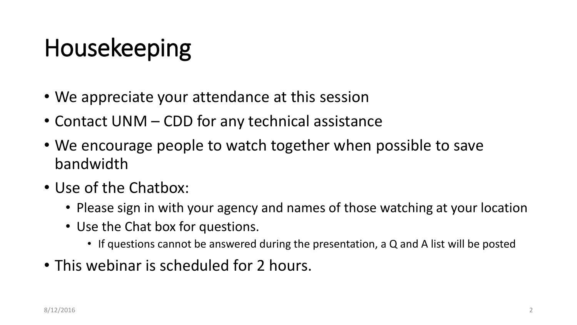# Housekeeping

- We appreciate your attendance at this session
- Contact UNM CDD for any technical assistance
- We encourage people to watch together when possible to save bandwidth
- Use of the Chatbox:
	- Please sign in with your agency and names of those watching at your location
	- Use the Chat box for questions.
		- If questions cannot be answered during the presentation, a Q and A list will be posted
- This webinar is scheduled for 2 hours.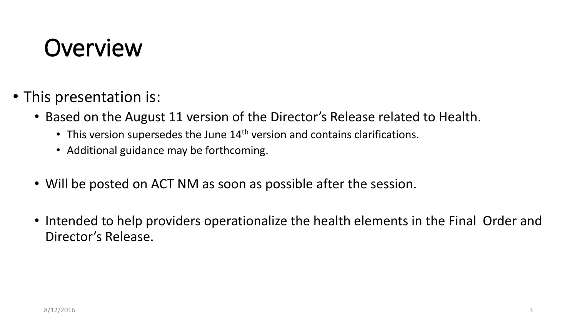## **Overview**

- This presentation is:
	- Based on the August 11 version of the Director's Release related to Health.
		- This version supersedes the June  $14<sup>th</sup>$  version and contains clarifications.
		- Additional guidance may be forthcoming.
	- Will be posted on ACT NM as soon as possible after the session.
	- Intended to help providers operationalize the health elements in the Final Order and Director's Release.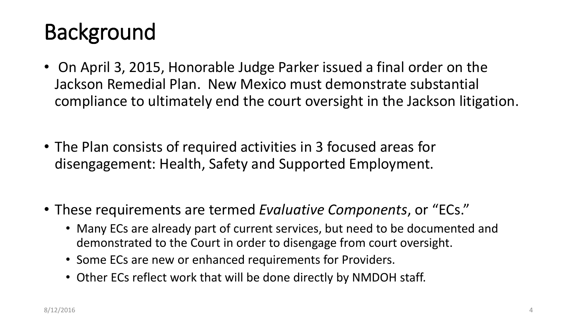#### Background

- On April 3, 2015, Honorable Judge Parker issued a final order on the Jackson Remedial Plan. New Mexico must demonstrate substantial compliance to ultimately end the court oversight in the Jackson litigation.
- The Plan consists of required activities in 3 focused areas for disengagement: Health, Safety and Supported Employment.
- These requirements are termed *Evaluative Components*, or "ECs."
	- Many ECs are already part of current services, but need to be documented and demonstrated to the Court in order to disengage from court oversight.
	- Some ECs are new or enhanced requirements for Providers.
	- Other ECs reflect work that will be done directly by NMDOH staff.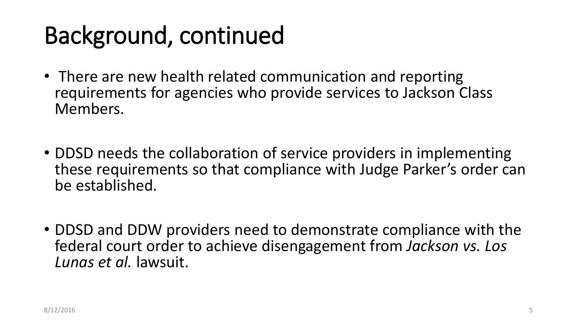# Background, continued

- There are new health related communication and reporting requirements for agencies who provide services to Jackson Class Members.
- DDSD needs the collaboration of service providers in implementing these requirements so that compliance with Judge Parker's order can be established.
- DDSD and DDW providers need to demonstrate compliance with the federal court order to achieve disengagement from *Jackson vs. Los Lunas et al.* lawsuit.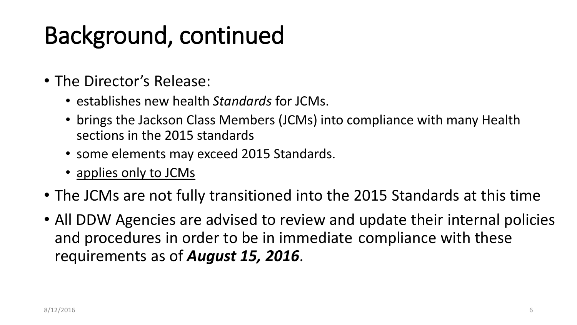# Background, continued

- The Director's Release:
	- establishes new health *Standards* for JCMs.
	- brings the Jackson Class Members (JCMs) into compliance with many Health sections in the 2015 standards
	- some elements may exceed 2015 Standards.
	- applies only to JCMs
- The JCMs are not fully transitioned into the 2015 Standards at this time
- All DDW Agencies are advised to review and update their internal policies and procedures in order to be in immediate compliance with these requirements as of *August 15, 2016*.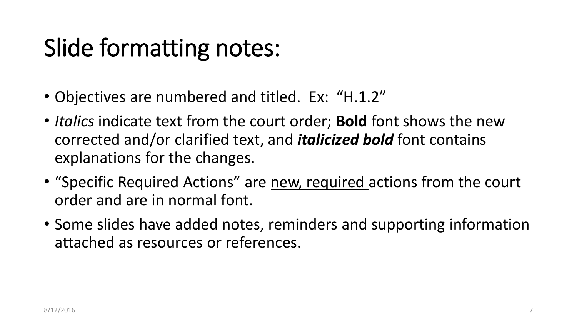# Slide formatting notes:

- Objectives are numbered and titled. Ex: "H.1.2"
- *Italics* indicate text from the court order; **Bold** font shows the new corrected and/or clarified text, and *italicized bold* font contains explanations for the changes.
- "Specific Required Actions" are new, required actions from the court order and are in normal font.
- Some slides have added notes, reminders and supporting information attached as resources or references.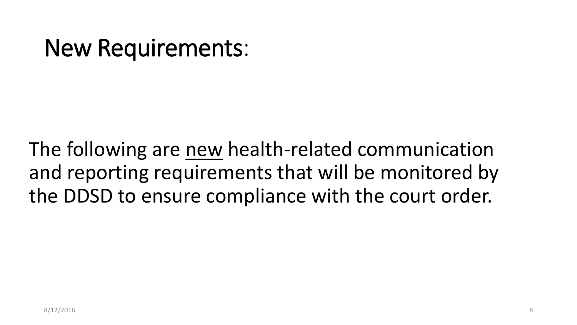#### New Requirements:

The following are new health-related communication and reporting requirements that will be monitored by the DDSD to ensure compliance with the court order.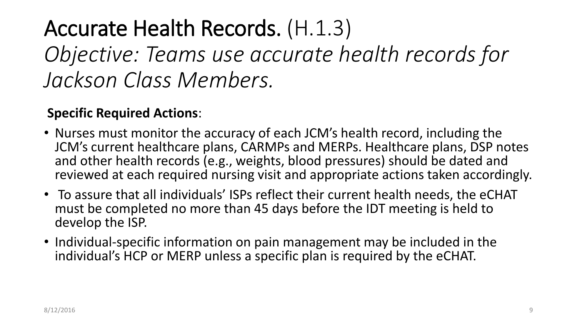#### Accurate Health Records. (H.1.3)

*Objective: Teams use accurate health records for Jackson Class Members.*

#### **Specific Required Actions**:

- Nurses must monitor the accuracy of each JCM's health record, including the JCM's current healthcare plans, CARMPs and MERPs. Healthcare plans, DSP notes and other health records (e.g., weights, blood pressures) should be dated and reviewed at each required nursing visit and appropriate actions taken accordingly.
- To assure that all individuals' ISPs reflect their current health needs, the eCHAT must be completed no more than 45 days before the IDT meeting is held to develop the ISP.
- Individual-specific information on pain management may be included in the individual's HCP or MERP unless a specific plan is required by the eCHAT.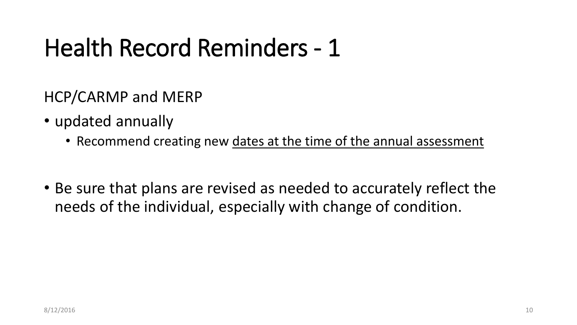## Health Record Reminders - 1

HCP/CARMP and MERP

- updated annually
	- Recommend creating new dates at the time of the annual assessment
- Be sure that plans are revised as needed to accurately reflect the needs of the individual, especially with change of condition.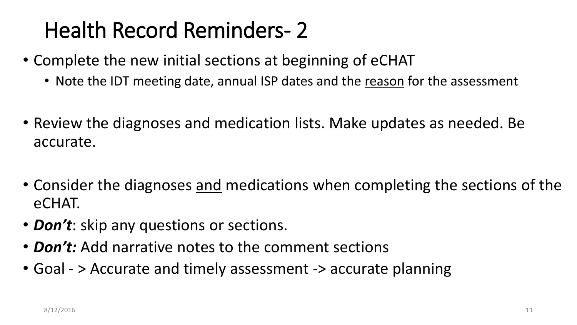#### Health Record Reminders- 2

- Complete the new initial sections at beginning of eCHAT
	- Note the IDT meeting date, annual ISP dates and the reason for the assessment
- Review the diagnoses and medication lists. Make updates as needed. Be accurate.
- Consider the diagnoses and medications when completing the sections of the eCHAT.
- *Don't*: skip any questions or sections.
- *Don't:* Add narrative notes to the comment sections
- Goal > Accurate and timely assessment -> accurate planning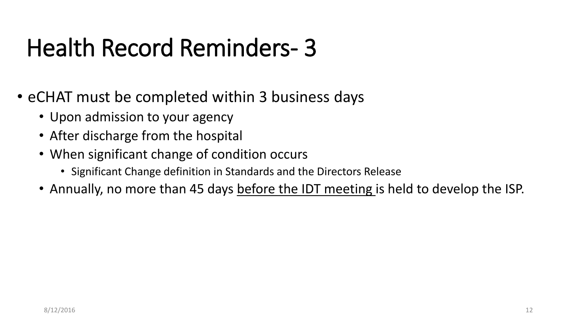# Health Record Reminders- 3

- eCHAT must be completed within 3 business days
	- Upon admission to your agency
	- After discharge from the hospital
	- When significant change of condition occurs
		- Significant Change definition in Standards and the Directors Release
	- Annually, no more than 45 days before the IDT meeting is held to develop the ISP.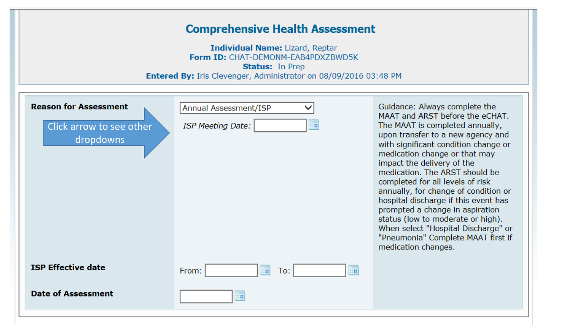| <b>Comprehensive Health Assessment</b><br><b>Individual Name: Lizard, Reptar</b><br>Form ID: CHAT-DEMONM-EAB4PDXZBWD5K<br><b>Status: In Prep</b><br><b>Entered By:</b> Iris Clevenger, Administrator on 08/09/2016 03:48 PM |                                                               |                                                                                                                                                                                                                                                                                                                                                                                                                                                                                                                                                                                   |  |  |  |
|-----------------------------------------------------------------------------------------------------------------------------------------------------------------------------------------------------------------------------|---------------------------------------------------------------|-----------------------------------------------------------------------------------------------------------------------------------------------------------------------------------------------------------------------------------------------------------------------------------------------------------------------------------------------------------------------------------------------------------------------------------------------------------------------------------------------------------------------------------------------------------------------------------|--|--|--|
| <b>Reason for Assessment</b><br>Click arrow to see other<br>dropdowns                                                                                                                                                       | <b>Annual Assessment/ISP</b><br><b>ISP Meeting Date:</b><br>Ħ | Guidance: Always complete the<br>MAAT and ARST before the eCHAT.<br>The MAAT is completed annually,<br>upon transfer to a new agency and<br>with significant condition change or<br>medication change or that may<br>impact the delivery of the<br>medication. The ARST should be<br>completed for all levels of risk<br>annually, for change of condition or<br>hospital discharge if this event has<br>prompted a change in aspiration<br>status (low to moderate or high).<br>When select "Hospital Discharge" or<br>"Pneumonia" Complete MAAT first if<br>medication changes. |  |  |  |
| <b>ISP Effective date</b>                                                                                                                                                                                                   | From:<br><b>Fa</b><br>To:<br>Hн                               |                                                                                                                                                                                                                                                                                                                                                                                                                                                                                                                                                                                   |  |  |  |
| <b>Date of Assessment</b>                                                                                                                                                                                                   | <b>F</b>                                                      |                                                                                                                                                                                                                                                                                                                                                                                                                                                                                                                                                                                   |  |  |  |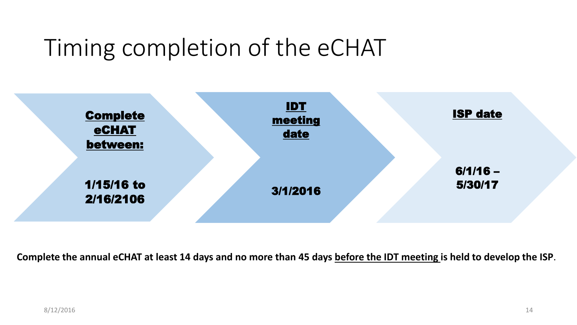#### Timing completion of the eCHAT



**Complete the annual eCHAT at least 14 days and no more than 45 days before the IDT meeting is held to develop the ISP**.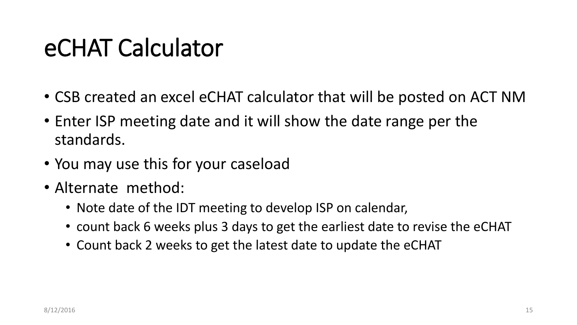## eCHAT Calculator

- CSB created an excel eCHAT calculator that will be posted on ACT NM
- Enter ISP meeting date and it will show the date range per the standards.
- You may use this for your caseload
- Alternate method:
	- Note date of the IDT meeting to develop ISP on calendar,
	- count back 6 weeks plus 3 days to get the earliest date to revise the eCHAT
	- Count back 2 weeks to get the latest date to update the eCHAT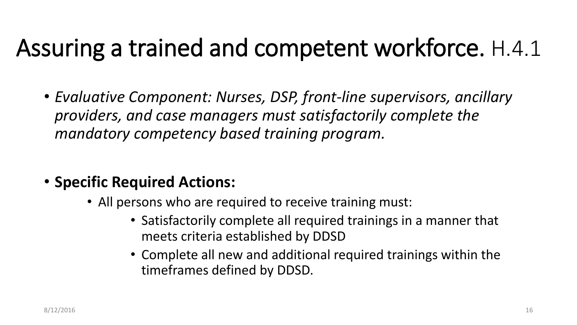## Assuring a trained and competent workforce. H.4.1

- *Evaluative Component: Nurses, DSP, front-line supervisors, ancillary providers, and case managers must satisfactorily complete the mandatory competency based training program.*
- **Specific Required Actions:**
	- All persons who are required to receive training must:
		- Satisfactorily complete all required trainings in a manner that meets criteria established by DDSD
		- Complete all new and additional required trainings within the timeframes defined by DDSD.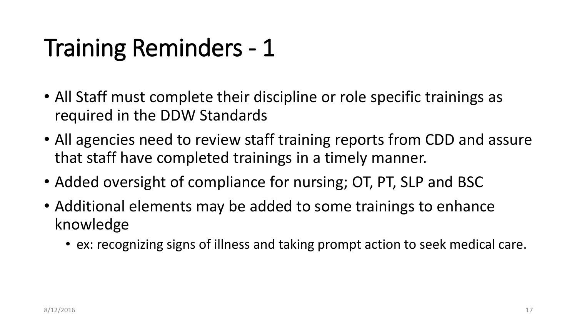# Training Reminders - 1

- All Staff must complete their discipline or role specific trainings as required in the DDW Standards
- All agencies need to review staff training reports from CDD and assure that staff have completed trainings in a timely manner.
- Added oversight of compliance for nursing; OT, PT, SLP and BSC
- Additional elements may be added to some trainings to enhance knowledge
	- ex: recognizing signs of illness and taking prompt action to seek medical care.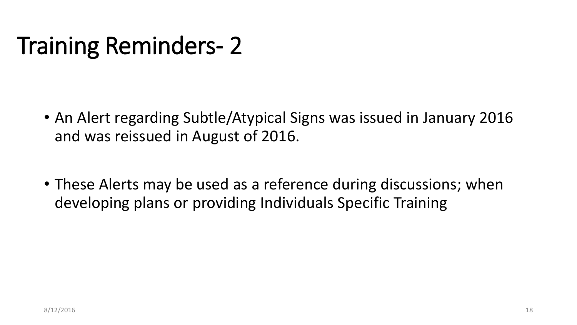# Training Reminders- 2

- An Alert regarding Subtle/Atypical Signs was issued in January 2016 and was reissued in August of 2016.
- These Alerts may be used as a reference during discussions; when developing plans or providing Individuals Specific Training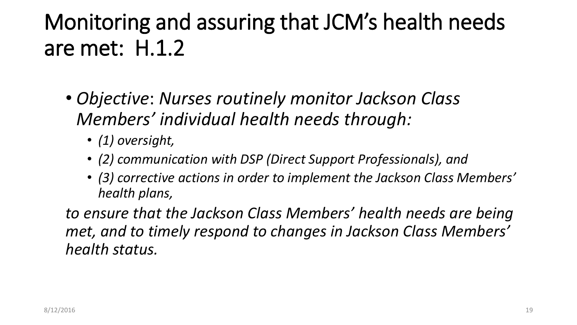#### Monitoring and assuring that JCM's health needs are met: H.1.2

- *Objective*: *Nurses routinely monitor Jackson Class Members' individual health needs through:* 
	- *(1) oversight,*
	- *(2) communication with DSP (Direct Support Professionals), and*
	- *(3) corrective actions in order to implement the Jackson Class Members' health plans,*

*to ensure that the Jackson Class Members' health needs are being met, and to timely respond to changes in Jackson Class Members' health status.*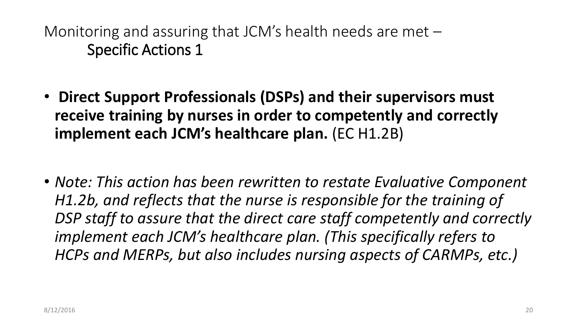- **Direct Support Professionals (DSPs) and their supervisors must receive training by nurses in order to competently and correctly implement each JCM's healthcare plan.** (EC H1.2B)
- *Note: This action has been rewritten to restate Evaluative Component H1.2b, and reflects that the nurse is responsible for the training of DSP staff to assure that the direct care staff competently and correctly implement each JCM's healthcare plan. (This specifically refers to HCPs and MERPs, but also includes nursing aspects of CARMPs, etc.)*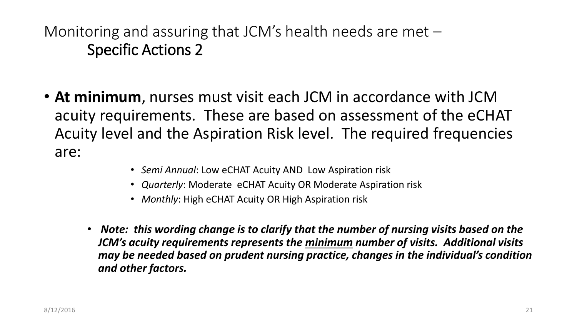- **At minimum**, nurses must visit each JCM in accordance with JCM acuity requirements. These are based on assessment of the eCHAT Acuity level and the Aspiration Risk level. The required frequencies are:
	- *Semi Annual*: Low eCHAT Acuity AND Low Aspiration risk
	- *Quarterly*: Moderate eCHAT Acuity OR Moderate Aspiration risk
	- *Monthly*: High eCHAT Acuity OR High Aspiration risk
	- *Note: this wording change is to clarify that the number of nursing visits based on the JCM's acuity requirements represents the minimum number of visits. Additional visits may be needed based on prudent nursing practice, changes in the individual's condition and other factors.*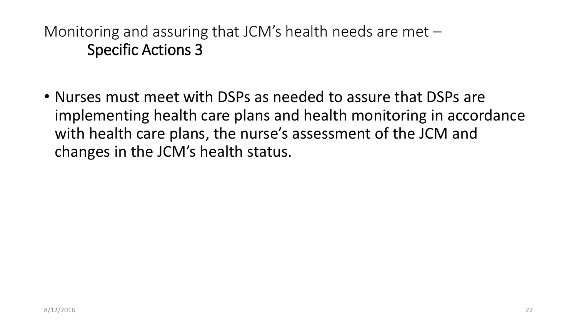• Nurses must meet with DSPs as needed to assure that DSPs are implementing health care plans and health monitoring in accordance with health care plans, the nurse's assessment of the JCM and changes in the JCM's health status.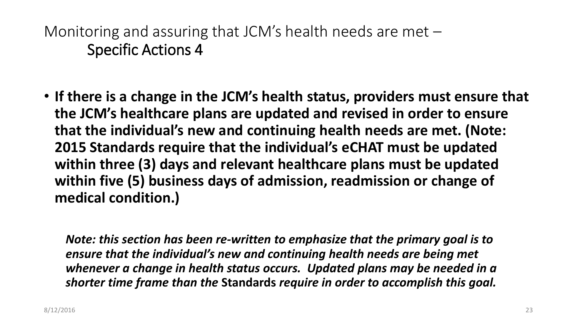• **If there is a change in the JCM's health status, providers must ensure that the JCM's healthcare plans are updated and revised in order to ensure that the individual's new and continuing health needs are met. (Note: 2015 Standards require that the individual's eCHAT must be updated within three (3) days and relevant healthcare plans must be updated within five (5) business days of admission, readmission or change of medical condition.)**

*Note: this section has been re-written to emphasize that the primary goal is to ensure that the individual's new and continuing health needs are being met whenever a change in health status occurs. Updated plans may be needed in a shorter time frame than the* **Standards** *require in order to accomplish this goal.*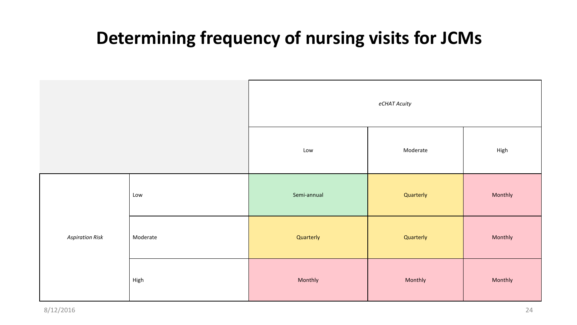#### **Determining frequency of nursing visits for JCMs**

|                        |          | eCHAT Acuity |           |         |
|------------------------|----------|--------------|-----------|---------|
|                        |          | Low          | Moderate  | High    |
| <b>Aspiration Risk</b> | Low      | Semi-annual  | Quarterly | Monthly |
|                        | Moderate | Quarterly    | Quarterly | Monthly |
|                        | High     | Monthly      | Monthly   | Monthly |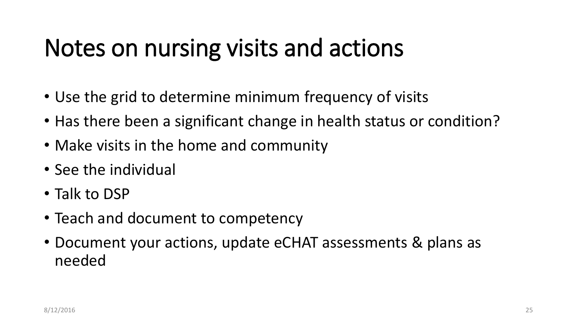## Notes on nursing visits and actions

- Use the grid to determine minimum frequency of visits
- Has there been a significant change in health status or condition?
- Make visits in the home and community
- See the individual
- Talk to DSP
- Teach and document to competency
- Document your actions, update eCHAT assessments & plans as needed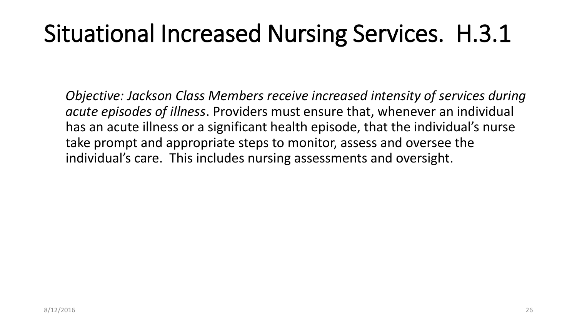## Situational Increased Nursing Services. H.3.1

*Objective: Jackson Class Members receive increased intensity of services during acute episodes of illness*. Providers must ensure that, whenever an individual has an acute illness or a significant health episode, that the individual's nurse take prompt and appropriate steps to monitor, assess and oversee the individual's care. This includes nursing assessments and oversight.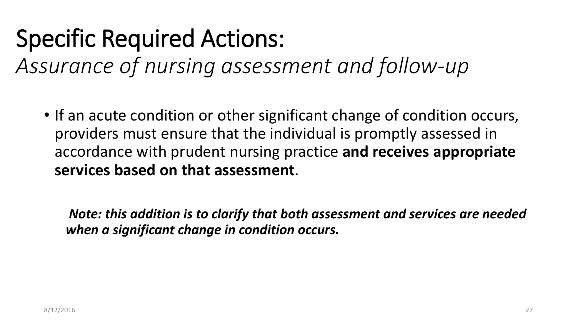## Specific Required Actions:

*Assurance of nursing assessment and follow-up*

• If an acute condition or other significant change of condition occurs, providers must ensure that the individual is promptly assessed in accordance with prudent nursing practice **and receives appropriate services based on that assessment**.

*Note: this addition is to clarify that both assessment and services are needed when a significant change in condition occurs.*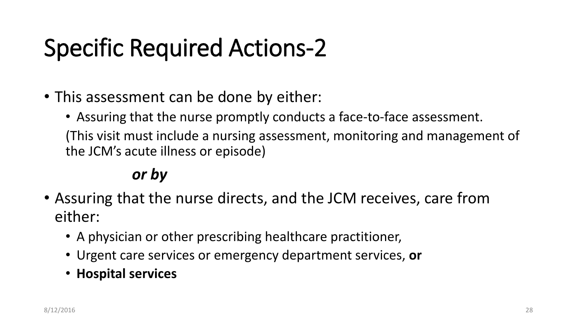# Specific Required Actions-2

- This assessment can be done by either:
	- Assuring that the nurse promptly conducts a face-to-face assessment. (This visit must include a nursing assessment, monitoring and management of the JCM's acute illness or episode)

#### *or by*

- Assuring that the nurse directs, and the JCM receives, care from either:
	- A physician or other prescribing healthcare practitioner,
	- Urgent care services or emergency department services, **or**
	- **Hospital services**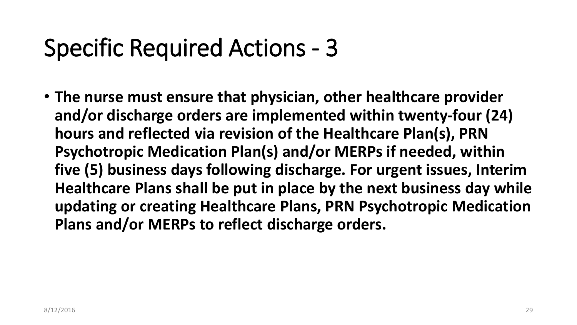#### Specific Required Actions - 3

• **The nurse must ensure that physician, other healthcare provider and/or discharge orders are implemented within twenty-four (24) hours and reflected via revision of the Healthcare Plan(s), PRN Psychotropic Medication Plan(s) and/or MERPs if needed, within five (5) business days following discharge. For urgent issues, Interim Healthcare Plans shall be put in place by the next business day while updating or creating Healthcare Plans, PRN Psychotropic Medication Plans and/or MERPs to reflect discharge orders.**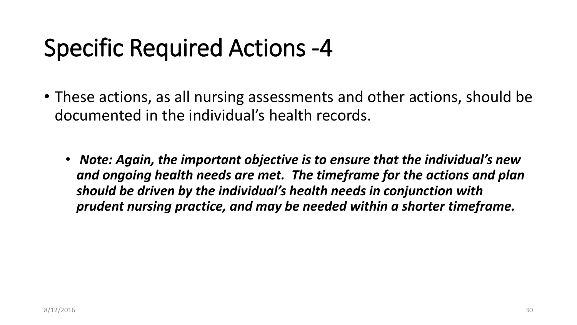## Specific Required Actions -4

- These actions, as all nursing assessments and other actions, should be documented in the individual's health records.
	- *Note: Again, the important objective is to ensure that the individual's new and ongoing health needs are met. The timeframe for the actions and plan should be driven by the individual's health needs in conjunction with prudent nursing practice, and may be needed within a shorter timeframe.*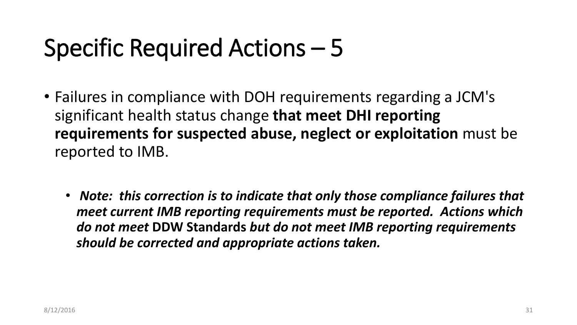### Specific Required Actions – 5

- Failures in compliance with DOH requirements regarding a JCM's significant health status change **that meet DHI reporting requirements for suspected abuse, neglect or exploitation** must be reported to IMB.
	- *Note: this correction is to indicate that only those compliance failures that meet current IMB reporting requirements must be reported. Actions which do not meet* **DDW Standards** *but do not meet IMB reporting requirements should be corrected and appropriate actions taken.*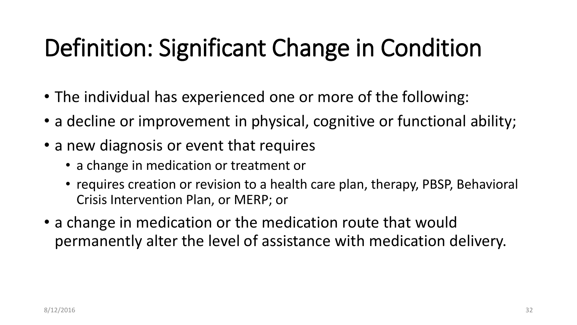# Definition: Significant Change in Condition

- The individual has experienced one or more of the following:
- a decline or improvement in physical, cognitive or functional ability;
- a new diagnosis or event that requires
	- a change in medication or treatment or
	- requires creation or revision to a health care plan, therapy, PBSP, Behavioral Crisis Intervention Plan, or MERP; or
- a change in medication or the medication route that would permanently alter the level of assistance with medication delivery.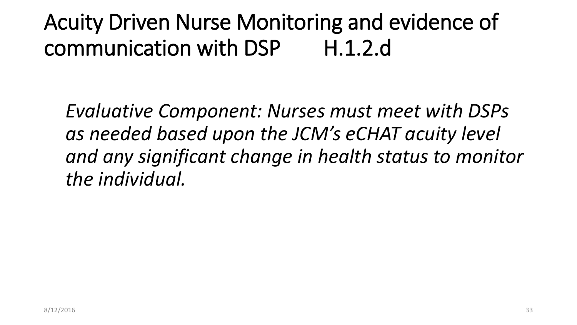Acuity Driven Nurse Monitoring and evidence of communication with DSP H.1.2.d

*Evaluative Component: Nurses must meet with DSPs as needed based upon the JCM's eCHAT acuity level and any significant change in health status to monitor the individual.*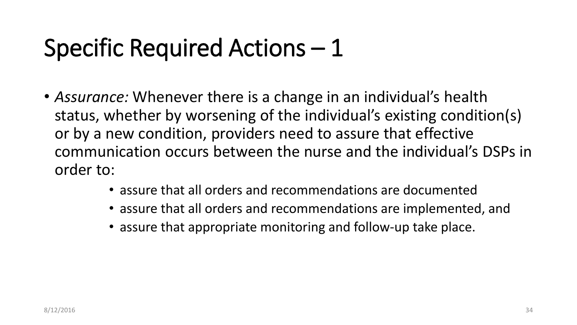## Specific Required Actions – 1

- *Assurance:* Whenever there is a change in an individual's health status, whether by worsening of the individual's existing condition(s) or by a new condition, providers need to assure that effective communication occurs between the nurse and the individual's DSPs in order to:
	- assure that all orders and recommendations are documented
	- assure that all orders and recommendations are implemented, and
	- assure that appropriate monitoring and follow-up take place.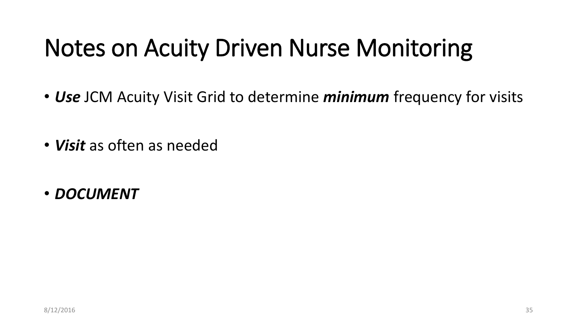## Notes on Acuity Driven Nurse Monitoring

- *Use* JCM Acuity Visit Grid to determine *minimum* frequency for visits
- *Visit* as often as needed
- *DOCUMENT*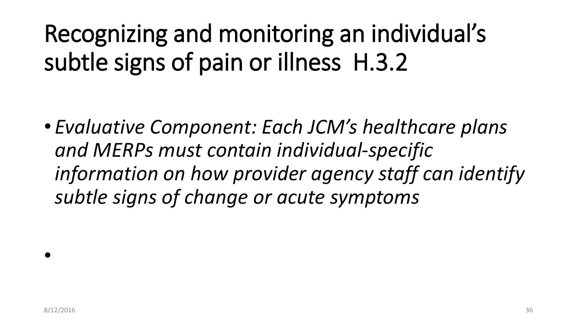Recognizing and monitoring an individual's subtle signs of pain or illness H.3.2

• *Evaluative Component: Each JCM's healthcare plans and MERPs must contain individual-specific information on how provider agency staff can identify subtle signs of change or acute symptoms*

•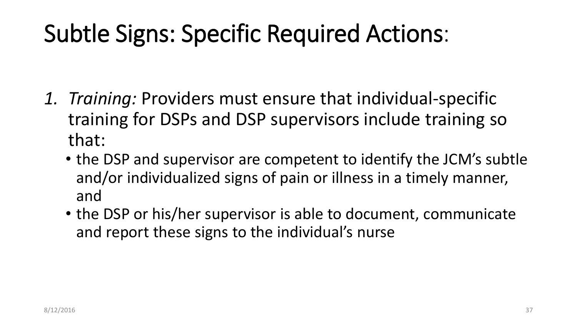## Subtle Signs: Specific Required Actions:

- *1. Training:* Providers must ensure that individual-specific training for DSPs and DSP supervisors include training so that:
	- the DSP and supervisor are competent to identify the JCM's subtle and/or individualized signs of pain or illness in a timely manner, and
	- the DSP or his/her supervisor is able to document, communicate and report these signs to the individual's nurse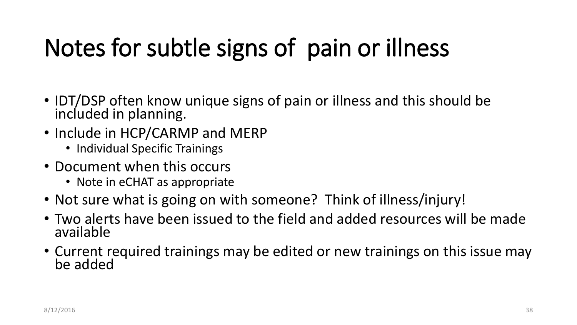# Notes for subtle signs of pain or illness

- IDT/DSP often know unique signs of pain or illness and this should be included in planning.
- Include in HCP/CARMP and MERP
	- Individual Specific Trainings
- Document when this occurs
	- Note in eCHAT as appropriate
- Not sure what is going on with someone? Think of illness/injury!
- Two alerts have been issued to the field and added resources will be made available
- Current required trainings may be edited or new trainings on this issue may be added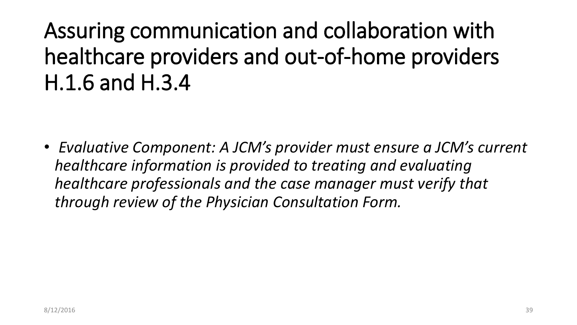#### Assuring communication and collaboration with healthcare providers and out-of-home providers H.1.6 and H.3.4

• *Evaluative Component: A JCM's provider must ensure a JCM's current healthcare information is provided to treating and evaluating healthcare professionals and the case manager must verify that through review of the Physician Consultation Form.*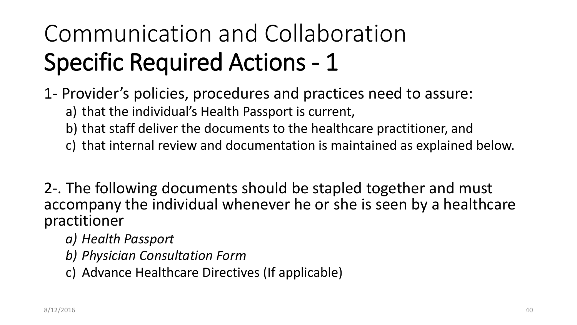# Communication and Collaboration Specific Required Actions - 1

1- Provider's policies, procedures and practices need to assure:

a) that the individual's Health Passport is current,

- b) that staff deliver the documents to the healthcare practitioner, and
- c) that internal review and documentation is maintained as explained below.

2-. The following documents should be stapled together and must accompany the individual whenever he or she is seen by a healthcare practitioner

- *a) Health Passport*
- *b) Physician Consultation Form*
- c) Advance Healthcare Directives (If applicable)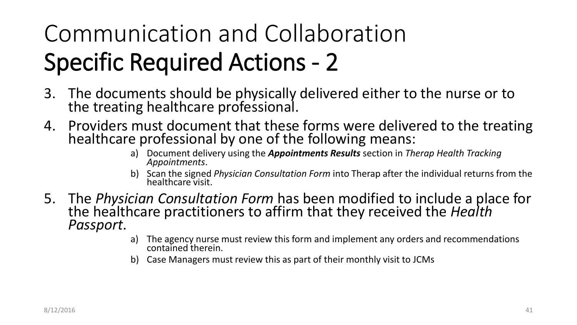# Communication and Collaboration Specific Required Actions - 2

- 3. The documents should be physically delivered either to the nurse or to the treating healthcare professional.
- 4. Providers must document that these forms were delivered to the treating healthcare professional by one of the following means:
	- a) Document delivery using the *Appointments Results* section in *Therap Health Tracking Appointments*.
	- b) Scan the signed *Physician Consultation Form* into Therap after the individual returns from the healthcare visit.
- 5. The *Physician Consultation Form* has been modified to include a place for the healthcare practitioners to affirm that they received the *Health Passport*.
	- a) The agency nurse must review this form and implement any orders and recommendations contained therein.
	- b) Case Managers must review this as part of their monthly visit to JCMs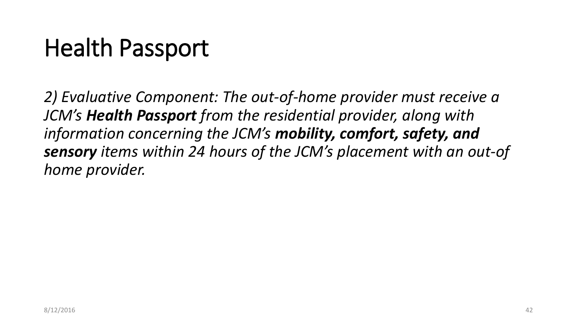## Health Passport

*2) Evaluative Component: The out-of-home provider must receive a JCM's Health Passport from the residential provider, along with information concerning the JCM's mobility, comfort, safety, and sensory items within 24 hours of the JCM's placement with an out-of home provider.*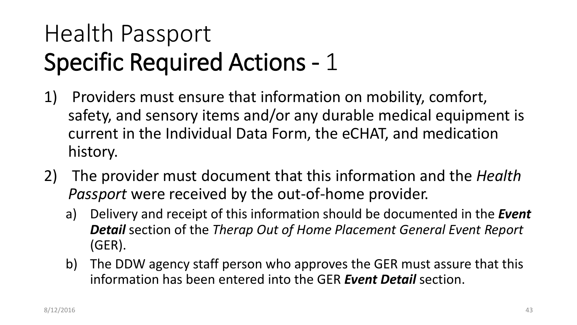# Health Passport Specific Required Actions - 1

- 1) Providers must ensure that information on mobility, comfort, safety, and sensory items and/or any durable medical equipment is current in the Individual Data Form, the eCHAT, and medication history.
- 2) The provider must document that this information and the *Health Passport* were received by the out-of-home provider.
	- a) Delivery and receipt of this information should be documented in the *Event Detail* section of the *Therap Out of Home Placement General Event Report* (GER).
	- b) The DDW agency staff person who approves the GER must assure that this information has been entered into the GER *Event Detail* section.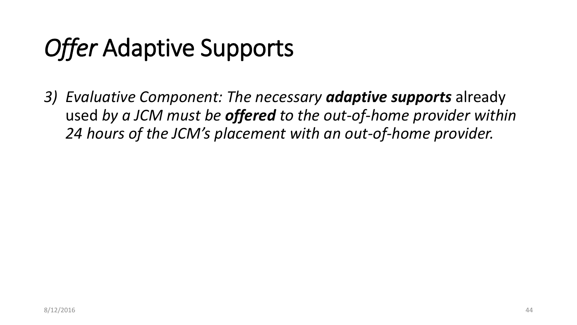# *Offer* Adaptive Supports

*3) Evaluative Component: The necessary adaptive supports* already used *by a JCM must be offered to the out-of-home provider within 24 hours of the JCM's placement with an out-of-home provider.*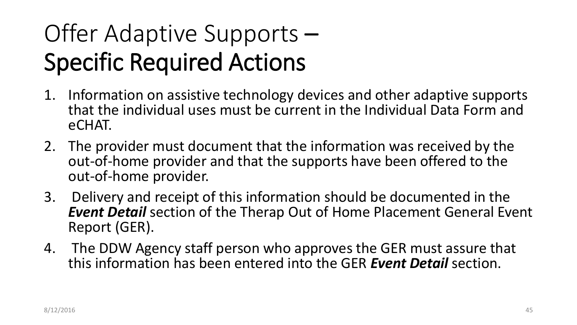# Offer Adaptive Supports – Specific Required Actions

- 1. Information on assistive technology devices and other adaptive supports that the individual uses must be current in the Individual Data Form and eCHAT.
- 2. The provider must document that the information was received by the out-of-home provider and that the supports have been offered to the out-of-home provider.
- 3. Delivery and receipt of this information should be documented in the *Event Detail* section of the Therap Out of Home Placement General Event Report (GER).
- 4. The DDW Agency staff person who approves the GER must assure that this information has been entered into the GER *Event Detail* section.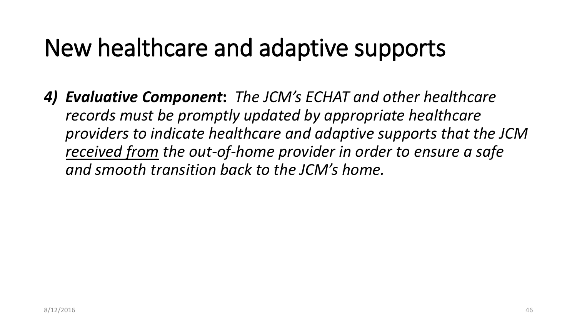## New healthcare and adaptive supports

*4) Evaluative Component***:** *The JCM's ECHAT and other healthcare records must be promptly updated by appropriate healthcare providers to indicate healthcare and adaptive supports that the JCM received from the out-of-home provider in order to ensure a safe and smooth transition back to the JCM's home.*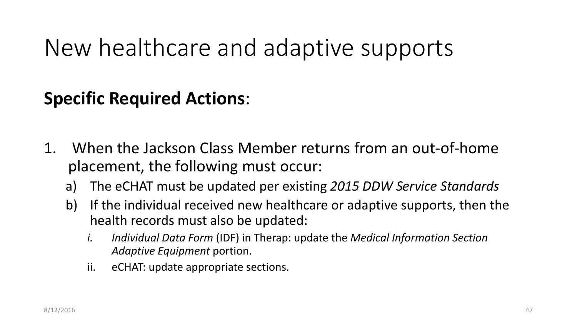#### New healthcare and adaptive supports

#### **Specific Required Actions**:

- 1. When the Jackson Class Member returns from an out-of-home placement, the following must occur:
	- a) The eCHAT must be updated per existing *2015 DDW Service Standards*
	- b) If the individual received new healthcare or adaptive supports, then the health records must also be updated:
		- *i. Individual Data Form* (IDF) in Therap: update the *Medical Information Section Adaptive Equipment* portion.
		- ii. eCHAT: update appropriate sections.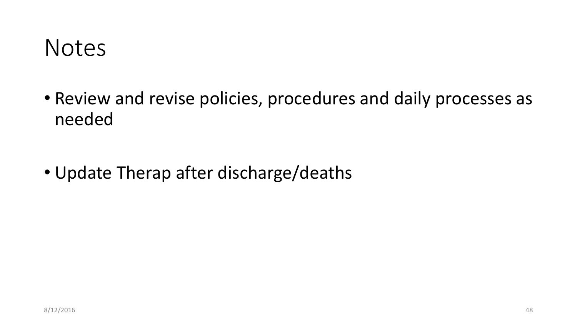

• Review and revise policies, procedures and daily processes as needed

• Update Therap after discharge/deaths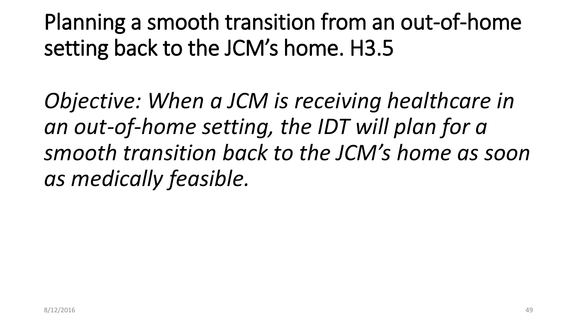Planning a smooth transition from an out-of-home setting back to the JCM's home. H3.5

*Objective: When a JCM is receiving healthcare in an out-of-home setting, the IDT will plan for a smooth transition back to the JCM's home as soon as medically feasible.*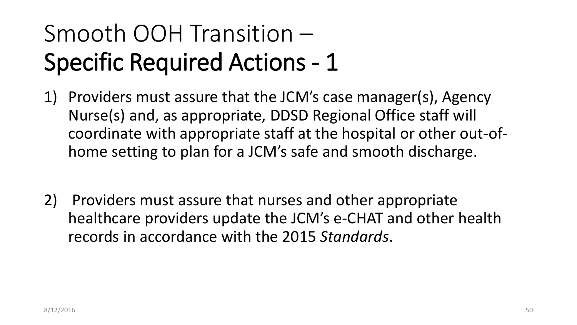# Smooth OOH Transition – Specific Required Actions - 1

- 1) Providers must assure that the JCM's case manager(s), Agency Nurse(s) and, as appropriate, DDSD Regional Office staff will coordinate with appropriate staff at the hospital or other out-ofhome setting to plan for a JCM's safe and smooth discharge.
- 2) Providers must assure that nurses and other appropriate healthcare providers update the JCM's e-CHAT and other health records in accordance with the 2015 *Standards*.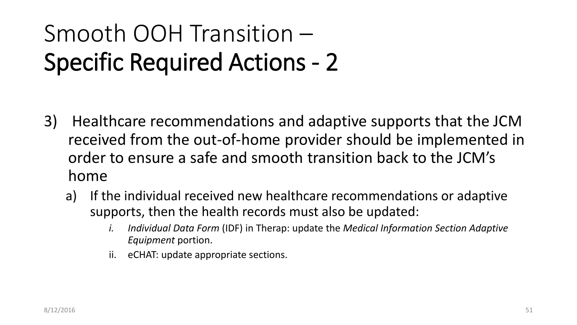# Smooth OOH Transition – Specific Required Actions - 2

- 3) Healthcare recommendations and adaptive supports that the JCM received from the out-of-home provider should be implemented in order to ensure a safe and smooth transition back to the JCM's home
	- a) If the individual received new healthcare recommendations or adaptive supports, then the health records must also be updated:
		- *i. Individual Data Form* (IDF) in Therap: update the *Medical Information Section Adaptive Equipment* portion.
		- ii. eCHAT: update appropriate sections.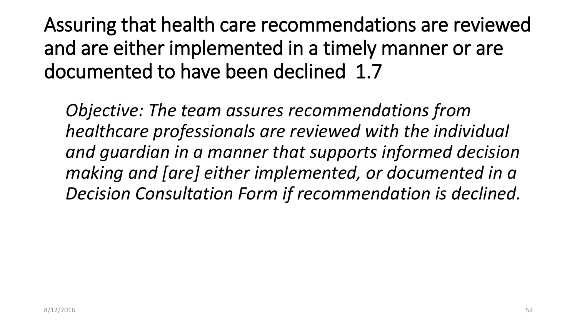Assuring that health care recommendations are reviewed and are either implemented in a timely manner or are documented to have been declined 1.7

*Objective: The team assures recommendations from healthcare professionals are reviewed with the individual and guardian in a manner that supports informed decision making and [are] either implemented, or documented in a Decision Consultation Form if recommendation is declined.*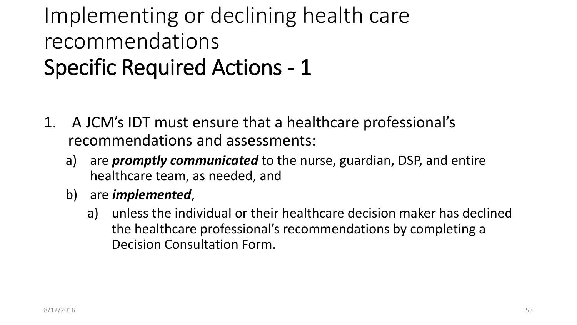#### Implementing or declining health care recommendations Specific Required Actions - 1

- 1. A JCM's IDT must ensure that a healthcare professional's recommendations and assessments:
	- a) are *promptly communicated* to the nurse, guardian, DSP, and entire healthcare team, as needed, and
	- b) are *implemented*,
		- a) unless the individual or their healthcare decision maker has declined the healthcare professional's recommendations by completing a Decision Consultation Form.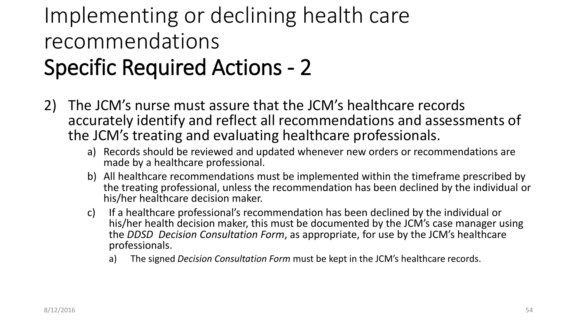#### Implementing or declining health care recommendations Specific Required Actions - 2

- 2) The JCM's nurse must assure that the JCM's healthcare records accurately identify and reflect all recommendations and assessments of the JCM's treating and evaluating healthcare professionals.
	- a) Records should be reviewed and updated whenever new orders or recommendations are made by a healthcare professional.
	- b) All healthcare recommendations must be implemented within the timeframe prescribed by the treating professional, unless the recommendation has been declined by the individual or his/her healthcare decision maker.
	- c) If a healthcare professional's recommendation has been declined by the individual or his/her health decision maker, this must be documented by the JCM's case manager using the *DDSD Decision Consultation Form*, as appropriate, for use by the JCM's healthcare professionals.
		- a) The signed *Decision Consultation Form* must be kept in the JCM's healthcare records.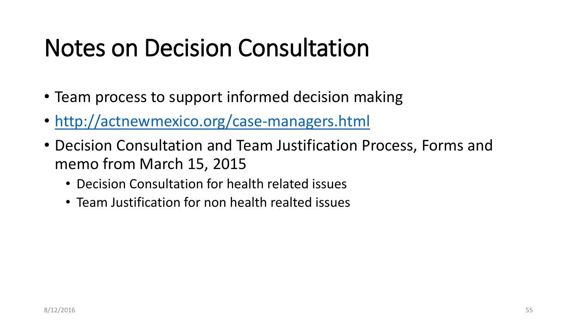## Notes on Decision Consultation

- Team process to support informed decision making
- <http://actnewmexico.org/case-managers.html>
- Decision Consultation and Team Justification Process, Forms and memo from March 15, 2015
	- Decision Consultation for health related issues
	- Team Justification for non health realted issues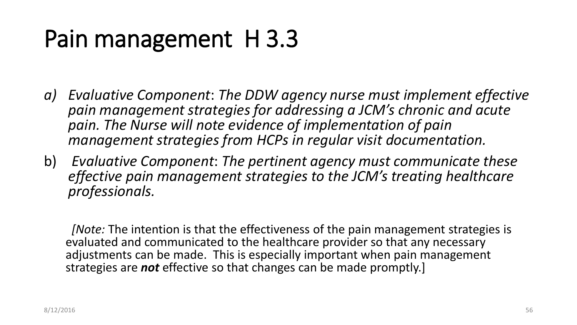# Pain management H 3.3

- *a) Evaluative Component*: *The DDW agency nurse must implement effective pain management strategies for addressing a JCM's chronic and acute pain. The Nurse will note evidence of implementation of pain management strategies from HCPs in regular visit documentation.*
- b) *Evaluative Component*: *The pertinent agency must communicate these effective pain management strategies to the JCM's treating healthcare professionals.*

*[Note:* The intention is that the effectiveness of the pain management strategies is evaluated and communicated to the healthcare provider so that any necessary adjustments can be made. This is especially important when pain management strategies are *not* effective so that changes can be made promptly.]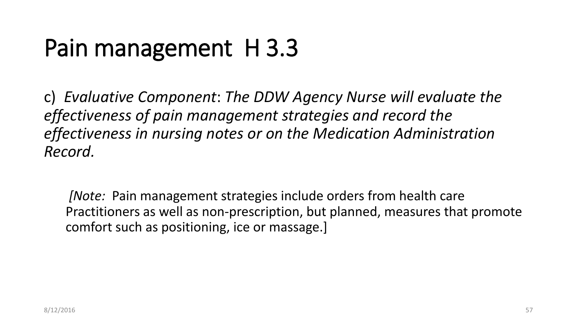# Pain management H 3.3

c) *Evaluative Component*: *The DDW Agency Nurse will evaluate the effectiveness of pain management strategies and record the effectiveness in nursing notes or on the Medication Administration Record.*

*[Note:* Pain management strategies include orders from health care Practitioners as well as non-prescription, but planned, measures that promote comfort such as positioning, ice or massage.]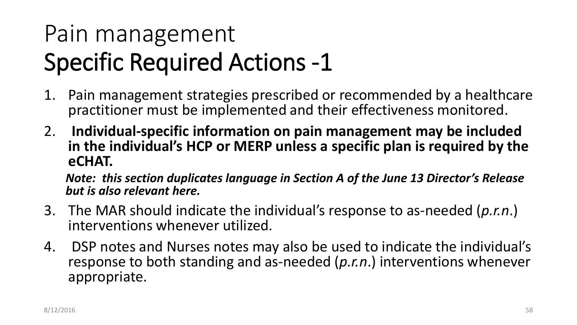# Pain management Specific Required Actions -1

- 1. Pain management strategies prescribed or recommended by a healthcare practitioner must be implemented and their effectiveness monitored.
- 2. **Individual-specific information on pain management may be included in the individual's HCP or MERP unless a specific plan is required by the eCHAT.**

*Note: this section duplicates language in Section A of the June 13 Director's Release but is also relevant here.*

- 3. The MAR should indicate the individual's response to as-needed (*p.r.n*.) interventions whenever utilized.
- 4. DSP notes and Nurses notes may also be used to indicate the individual's response to both standing and as-needed (*p.r.n*.) interventions whenever appropriate.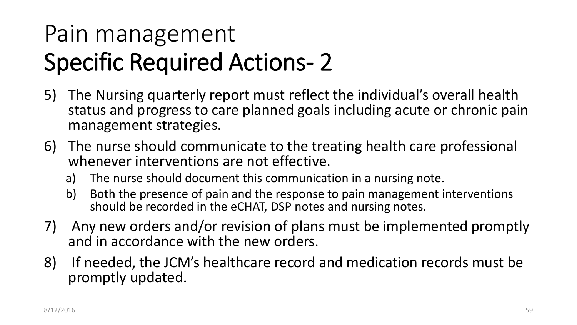# Pain management Specific Required Actions- 2

- 5) The Nursing quarterly report must reflect the individual's overall health status and progress to care planned goals including acute or chronic pain management strategies.
- 6) The nurse should communicate to the treating health care professional whenever interventions are not effective.
	- a) The nurse should document this communication in a nursing note.
	- b) Both the presence of pain and the response to pain management interventions should be recorded in the eCHAT, DSP notes and nursing notes.
- 7) Any new orders and/or revision of plans must be implemented promptly and in accordance with the new orders.
- 8) If needed, the JCM's healthcare record and medication records must be promptly updated.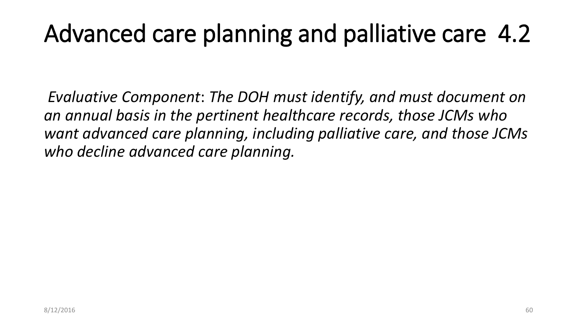## Advanced care planning and palliative care 4.2

*Evaluative Component*: *The DOH must identify, and must document on an annual basis in the pertinent healthcare records, those JCMs who want advanced care planning, including palliative care, and those JCMs who decline advanced care planning.*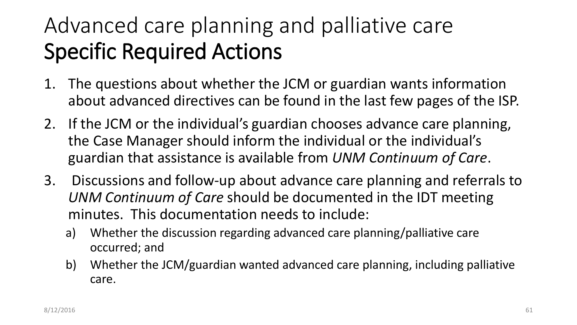#### Advanced care planning and palliative care Specific Required Actions

- 1. The questions about whether the JCM or guardian wants information about advanced directives can be found in the last few pages of the ISP.
- 2. If the JCM or the individual's guardian chooses advance care planning, the Case Manager should inform the individual or the individual's guardian that assistance is available from *UNM Continuum of Care*.
- 3. Discussions and follow-up about advance care planning and referrals to *UNM Continuum of Care* should be documented in the IDT meeting minutes. This documentation needs to include:
	- a) Whether the discussion regarding advanced care planning/palliative care occurred; and
	- b) Whether the JCM/guardian wanted advanced care planning, including palliative care.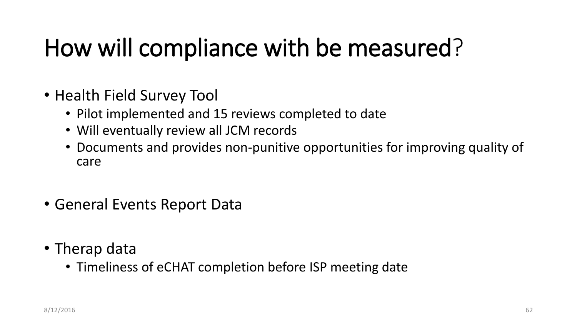# How will compliance with be measured?

- Health Field Survey Tool
	- Pilot implemented and 15 reviews completed to date
	- Will eventually review all JCM records
	- Documents and provides non-punitive opportunities for improving quality of care
- General Events Report Data
- Therap data
	- Timeliness of eCHAT completion before ISP meeting date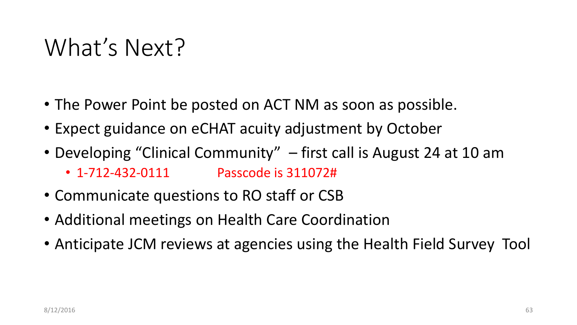#### What's Next?

- The Power Point be posted on ACT NM as soon as possible.
- Expect guidance on eCHAT acuity adjustment by October
- Developing "Clinical Community" first call is August 24 at 10 am • 1-712-432-0111 Passcode is 311072#
- Communicate questions to RO staff or CSB
- Additional meetings on Health Care Coordination
- Anticipate JCM reviews at agencies using the Health Field Survey Tool